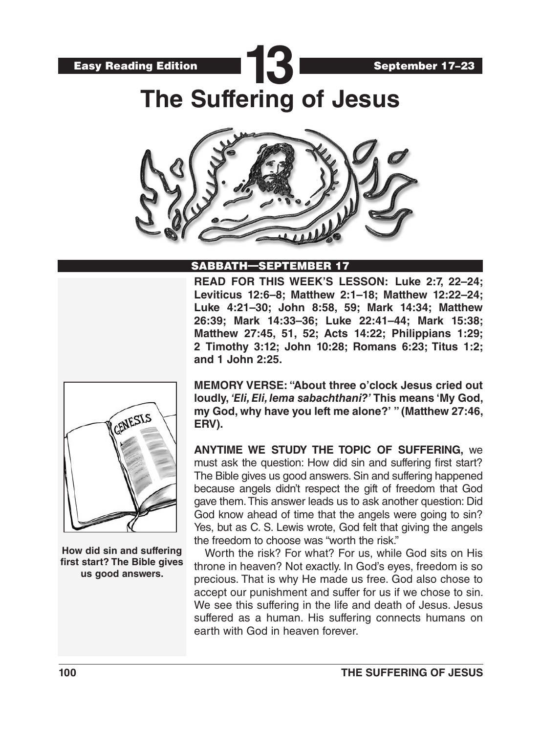



**The Suffering of Jesus**

**13**



#### SABBATH—SEPTEMBER 17

**READ FOR THIS WEEK'S LESSON: Luke 2:7, 22–24; Leviticus 12:6–8; Matthew 2:1–18; Matthew 12:22–24; Luke 4:21–30; John 8:58, 59; Mark 14:34; Matthew 26:39; Mark 14:33–36; Luke 22:41–44; Mark 15:38; Matthew 27:45, 51, 52; Acts 14:22; Philippians 1:29; 2 Timothy 3:12; John 10:28; Romans 6:23; Titus 1:2; and 1 John 2:25.**



**How did sin and suffering first start? The Bible gives us good answers.**

**MEMORY VERSE: "About three o'clock Jesus cried out loudly,** *'Eli, Eli, lema sabachthani?'* **This means 'My God, my God, why have you left me alone?' " (Matthew 27:46, ERV).**

**ANYTIME WE STUDY THE TOPIC OF SUFFERING,** we must ask the question: How did sin and suffering first start? The Bible gives us good answers. Sin and suffering happened because angels didn't respect the gift of freedom that God gave them. This answer leads us to ask another question: Did God know ahead of time that the angels were going to sin? Yes, but as C. S. Lewis wrote, God felt that giving the angels the freedom to choose was "worth the risk."

Worth the risk? For what? For us, while God sits on His throne in heaven? Not exactly. In God's eyes, freedom is so precious. That is why He made us free. God also chose to accept our punishment and suffer for us if we chose to sin. We see this suffering in the life and death of Jesus. Jesus suffered as a human. His suffering connects humans on earth with God in heaven forever.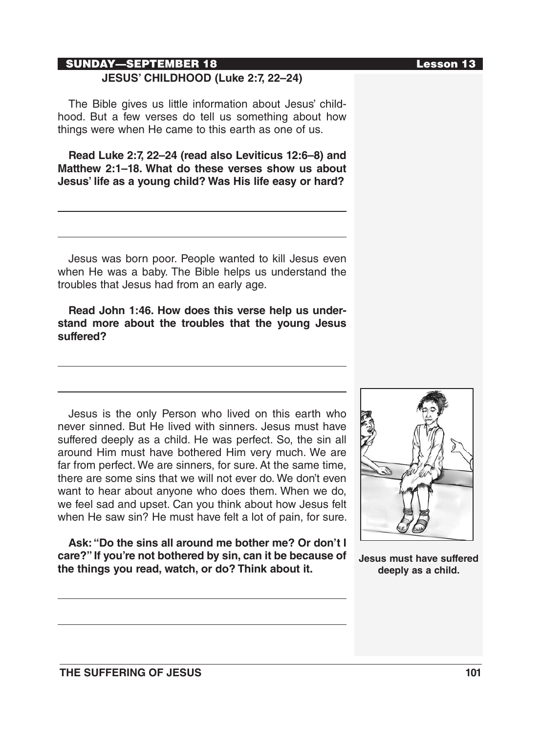# SUNDAY—SEPTEMBER 18 Lesson 13 **JESUS' CHILDHOOD (Luke 2:7, 22–24)**

The Bible gives us little information about Jesus' childhood. But a few verses do tell us something about how things were when He came to this earth as one of us.

**Read Luke 2:7, 22–24 (read also Leviticus 12:6–8) and Matthew 2:1–18. What do these verses show us about Jesus' life as a young child? Was His life easy or hard?**

Jesus was born poor. People wanted to kill Jesus even when He was a baby. The Bible helps us understand the troubles that Jesus had from an early age.

**Read John 1:46. How does this verse help us understand more about the troubles that the young Jesus suffered?**

Jesus is the only Person who lived on this earth who never sinned. But He lived with sinners. Jesus must have suffered deeply as a child. He was perfect. So, the sin all around Him must have bothered Him very much. We are far from perfect. We are sinners, for sure. At the same time, there are some sins that we will not ever do. We don't even want to hear about anyone who does them. When we do, we feel sad and upset. Can you think about how Jesus felt when He saw sin? He must have felt a lot of pain, for sure.

**Ask: "Do the sins all around me bother me? Or don't I care?" If you're not bothered by sin, can it be because of the things you read, watch, or do? Think about it.** 



**Jesus must have suffered deeply as a child.**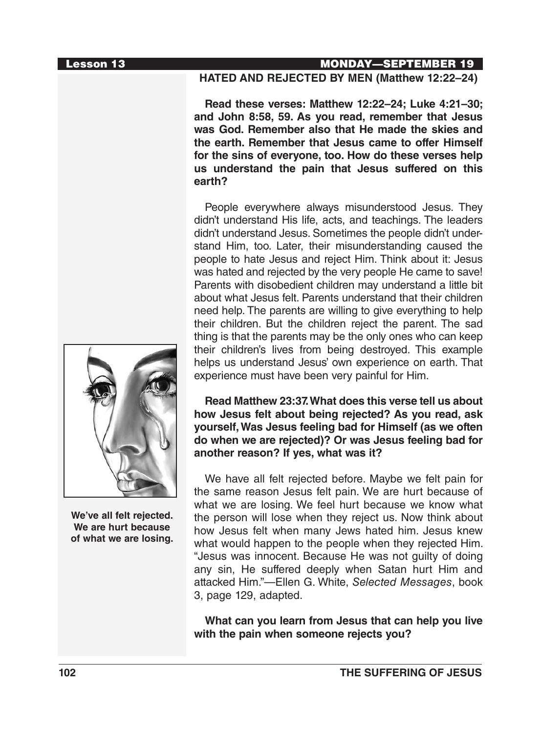

**We've all felt rejected. We are hurt because of what we are losing.**

#### Lesson 13 MONDAY—SEPTEMBER 19

#### **HATED AND REJECTED BY MEN (Matthew 12:22–24)**

**Read these verses: Matthew 12:22–24; Luke 4:21–30; and John 8:58, 59. As you read, remember that Jesus was God. Remember also that He made the skies and the earth. Remember that Jesus came to offer Himself for the sins of everyone, too. How do these verses help us understand the pain that Jesus suffered on this earth?**

People everywhere always misunderstood Jesus. They didn't understand His life, acts, and teachings. The leaders didn't understand Jesus. Sometimes the people didn't understand Him, too. Later, their misunderstanding caused the people to hate Jesus and reject Him. Think about it: Jesus was hated and rejected by the very people He came to save! Parents with disobedient children may understand a little bit about what Jesus felt. Parents understand that their children need help. The parents are willing to give everything to help their children. But the children reject the parent. The sad thing is that the parents may be the only ones who can keep their children's lives from being destroyed. This example helps us understand Jesus' own experience on earth. That experience must have been very painful for Him.

**Read Matthew 23:37. What does this verse tell us about how Jesus felt about being rejected? As you read, ask yourself, Was Jesus feeling bad for Himself (as we often do when we are rejected)? Or was Jesus feeling bad for another reason? If yes, what was it?**

We have all felt rejected before. Maybe we felt pain for the same reason Jesus felt pain. We are hurt because of what we are losing. We feel hurt because we know what the person will lose when they reject us. Now think about how Jesus felt when many Jews hated him. Jesus knew what would happen to the people when they rejected Him. "Jesus was innocent. Because He was not guilty of doing any sin, He suffered deeply when Satan hurt Him and attacked Him."—Ellen G. White, *Selected Messages*, book 3, page 129, adapted.

**What can you learn from Jesus that can help you live with the pain when someone rejects you?**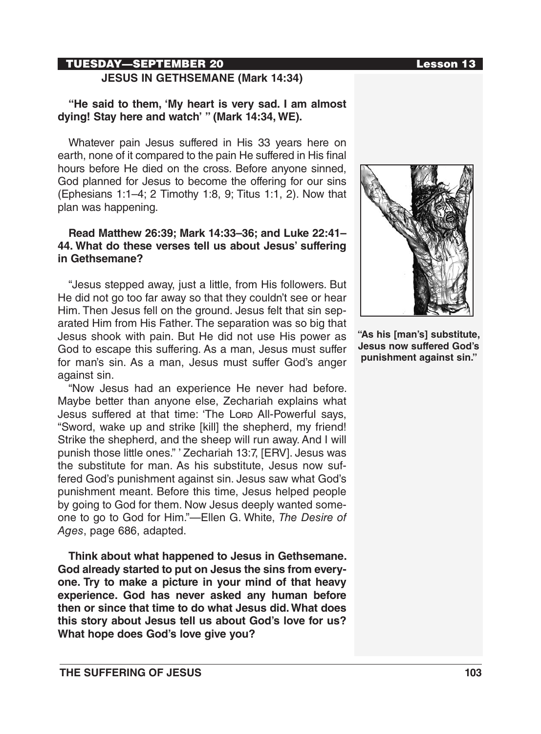# TUESDAY—SEPTEMBER 20 Lesson 13

# **JESUS IN GETHSEMANE (Mark 14:34)**

#### **"He said to them, 'My heart is very sad. I am almost dying! Stay here and watch' " (Mark 14:34, WE).**

Whatever pain Jesus suffered in His 33 years here on earth, none of it compared to the pain He suffered in His final hours before He died on the cross. Before anyone sinned, God planned for Jesus to become the offering for our sins (Ephesians 1:1–4; 2 Timothy 1:8, 9; Titus 1:1, 2). Now that plan was happening.

#### **Read Matthew 26:39; Mark 14:33–36; and Luke 22:41– 44. What do these verses tell us about Jesus' suffering in Gethsemane?**

"Jesus stepped away, just a little, from His followers. But He did not go too far away so that they couldn't see or hear Him. Then Jesus fell on the ground. Jesus felt that sin separated Him from His Father. The separation was so big that Jesus shook with pain. But He did not use His power as God to escape this suffering. As a man, Jesus must suffer for man's sin. As a man, Jesus must suffer God's anger against sin.

"Now Jesus had an experience He never had before. Maybe better than anyone else, Zechariah explains what Jesus suffered at that time: 'The Lorp All-Powerful says, "Sword, wake up and strike [kill] the shepherd, my friend! Strike the shepherd, and the sheep will run away. And I will punish those little ones." ' Zechariah 13:7, [ERV]. Jesus was the substitute for man. As his substitute, Jesus now suffered God's punishment against sin. Jesus saw what God's punishment meant. Before this time, Jesus helped people by going to God for them. Now Jesus deeply wanted someone to go to God for Him."—Ellen G. White, *The Desire of Ages*, page 686, adapted.

**Think about what happened to Jesus in Gethsemane. God already started to put on Jesus the sins from everyone. Try to make a picture in your mind of that heavy experience. God has never asked any human before then or since that time to do what Jesus did. What does this story about Jesus tell us about God's love for us? What hope does God's love give you?**



**"As his [man's] substitute, Jesus now suffered God's punishment against sin."**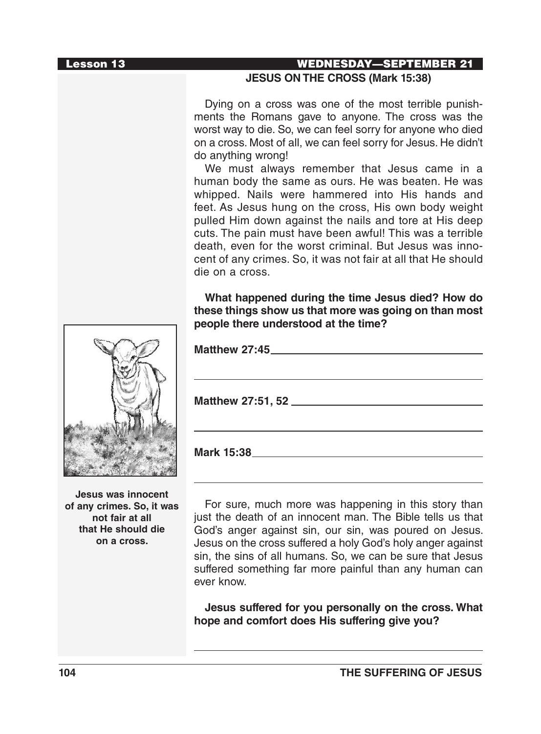#### Lesson 13 WEDNESDAY—SEPTEMBER 21

#### **JESUS ON THE CROSS (Mark 15:38)**

Dying on a cross was one of the most terrible punishments the Romans gave to anyone. The cross was the worst way to die. So, we can feel sorry for anyone who died on a cross. Most of all, we can feel sorry for Jesus. He didn't do anything wrong!

We must always remember that Jesus came in a human body the same as ours. He was beaten. He was whipped. Nails were hammered into His hands and feet. As Jesus hung on the cross, His own body weight pulled Him down against the nails and tore at His deep cuts. The pain must have been awful! This was a terrible death, even for the worst criminal. But Jesus was innocent of any crimes. So, it was not fair at all that He should die on a cross.

**What happened during the time Jesus died? How do these things show us that more was going on than most people there understood at the time?** 

| <b>Matthew 27:45</b> |
|----------------------|
|                      |
|                      |
|                      |
|                      |

**Jesus was innocent of any crimes. So, it was not fair at all that He should die on a cross.**

For sure, much more was happening in this story than just the death of an innocent man. The Bible tells us that God's anger against sin, our sin, was poured on Jesus. Jesus on the cross suffered a holy God's holy anger against sin, the sins of all humans. So, we can be sure that Jesus suffered something far more painful than any human can ever know.

**Jesus suffered for you personally on the cross. What hope and comfort does His suffering give you?** 

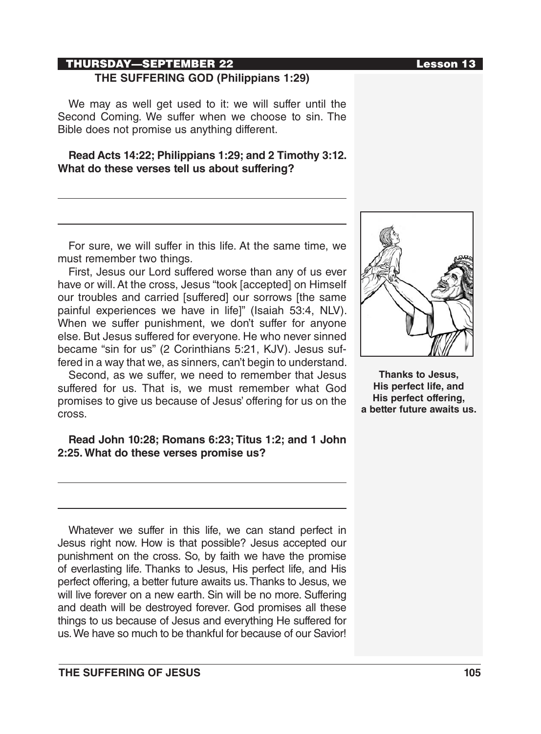# THURSDAY—SEPTEMBER 22 **THE SUFFERING GOD (Philippians 1:29)**

We may as well get used to it: we will suffer until the Second Coming. We suffer when we choose to sin. The Bible does not promise us anything different.

# **Read Acts 14:22; Philippians 1:29; and 2 Timothy 3:12. What do these verses tell us about suffering?**

For sure, we will suffer in this life. At the same time, we must remember two things.

First, Jesus our Lord suffered worse than any of us ever have or will. At the cross, Jesus "took [accepted] on Himself our troubles and carried [suffered] our sorrows [the same painful experiences we have in life]" (Isaiah 53:4, NLV). When we suffer punishment, we don't suffer for anyone else. But Jesus suffered for everyone. He who never sinned became "sin for us" (2 Corinthians 5:21, KJV). Jesus suffered in a way that we, as sinners, can't begin to understand.

Second, as we suffer, we need to remember that Jesus suffered for us. That is, we must remember what God promises to give us because of Jesus' offering for us on the cross.

# **Read John 10:28; Romans 6:23; Titus 1:2; and 1 John 2:25. What do these verses promise us?**

Whatever we suffer in this life, we can stand perfect in Jesus right now. How is that possible? Jesus accepted our punishment on the cross. So, by faith we have the promise of everlasting life. Thanks to Jesus, His perfect life, and His perfect offering, a better future awaits us. Thanks to Jesus, we will live forever on a new earth. Sin will be no more. Suffering and death will be destroyed forever. God promises all these things to us because of Jesus and everything He suffered for us. We have so much to be thankful for because of our Savior!



**Thanks to Jesus, His perfect life, and His perfect offering, a better future awaits us.**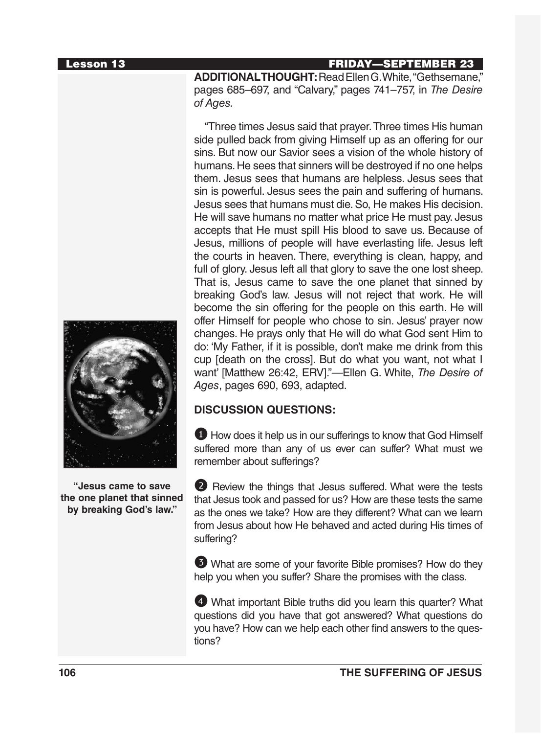#### Lesson 13 FRIDAY—SEPTEMBER 23

**ADDITIONAL THOUGHT:**Read Ellen G. White, "Gethsemane," pages 685–697, and "Calvary," pages 741–757, in *The Desire of Ages.*

"Three times Jesus said that prayer. Three times His human side pulled back from giving Himself up as an offering for our sins. But now our Savior sees a vision of the whole history of humans. He sees that sinners will be destroyed if no one helps them. Jesus sees that humans are helpless. Jesus sees that sin is powerful. Jesus sees the pain and suffering of humans. Jesus sees that humans must die. So, He makes His decision. He will save humans no matter what price He must pay. Jesus accepts that He must spill His blood to save us. Because of Jesus, millions of people will have everlasting life. Jesus left the courts in heaven. There, everything is clean, happy, and full of glory. Jesus left all that glory to save the one lost sheep. That is, Jesus came to save the one planet that sinned by breaking God's law. Jesus will not reject that work. He will become the sin offering for the people on this earth. He will offer Himself for people who chose to sin. Jesus' prayer now changes. He prays only that He will do what God sent Him to do: 'My Father, if it is possible, don't make me drink from this cup [death on the cross]. But do what you want, not what I want' [Matthew 26:42, ERV]."—Ellen G. White, *The Desire of Ages*, pages 690, 693, adapted.

# **DISCUSSION QUESTIONS:**

**1** How does it help us in our sufferings to know that God Himself suffered more than any of us ever can suffer? What must we remember about sufferings?

2 Review the things that Jesus suffered. What were the tests that Jesus took and passed for us? How are these tests the same as the ones we take? How are they different? What can we learn from Jesus about how He behaved and acted during His times of suffering?

3 What are some of your favorite Bible promises? How do they help you when you suffer? Share the promises with the class.

4 What important Bible truths did you learn this quarter? What questions did you have that got answered? What questions do you have? How can we help each other find answers to the questions?



**"Jesus came to save the one planet that sinned by breaking God's law."**